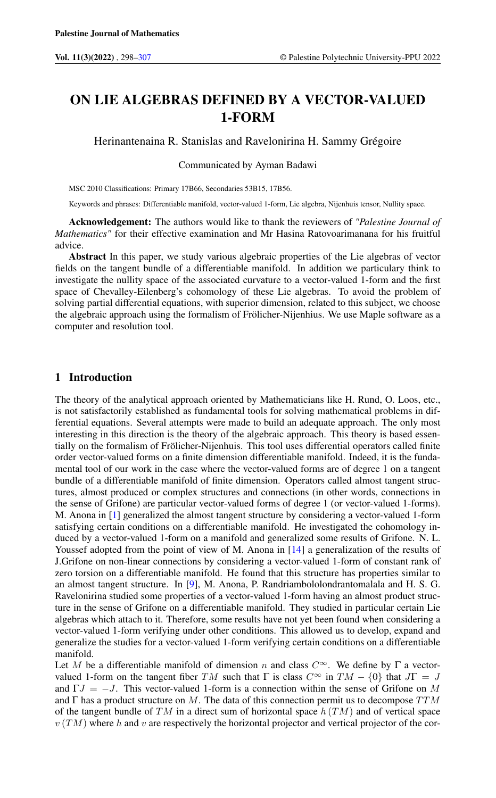# ON LIE ALGEBRAS DEFINED BY A VECTOR-VALUED 1-FORM

Herinantenaina R. Stanislas and Ravelonirina H. Sammy Grégoire

Communicated by Ayman Badawi

MSC 2010 Classifications: Primary 17B66, Secondaries 53B15, 17B56.

Keywords and phrases: Differentiable manifold, vector-valued 1-form, Lie algebra, Nijenhuis tensor, Nullity space.

Acknowledgement: The authors would like to thank the reviewers of *"Palestine Journal of Mathematics"* for their effective examination and Mr Hasina Ratovoarimanana for his fruitful advice.

Abstract In this paper, we study various algebraic properties of the Lie algebras of vector fields on the tangent bundle of a differentiable manifold. In addition we particulary think to investigate the nullity space of the associated curvature to a vector-valued 1-form and the first space of Chevalley-Eilenberg's cohomology of these Lie algebras. To avoid the problem of solving partial differential equations, with superior dimension, related to this subject, we choose the algebraic approach using the formalism of Frölicher-Nijenhius. We use Maple software as a computer and resolution tool.

## 1 Introduction

The theory of the analytical approach oriented by Mathematicians like H. Rund, O. Loos, etc., is not satisfactorily established as fundamental tools for solving mathematical problems in differential equations. Several attempts were made to build an adequate approach. The only most interesting in this direction is the theory of the algebraic approach. This theory is based essentially on the formalism of Frölicher-Nijenhuis. This tool uses differential operators called finite order vector-valued forms on a finite dimension differentiable manifold. Indeed, it is the fundamental tool of our work in the case where the vector-valued forms are of degree 1 on a tangent bundle of a differentiable manifold of finite dimension. Operators called almost tangent structures, almost produced or complex structures and connections (in other words, connections in the sense of Grifone) are particular vector-valued forms of degree 1 (or vector-valued 1-forms). M. Anona in [\[1\]](#page-8-1) generalized the almost tangent structure by considering a vector-valued 1-form satisfying certain conditions on a differentiable manifold. He investigated the cohomology induced by a vector-valued 1-form on a manifold and generalized some results of Grifone. N. L. Youssef adopted from the point of view of M. Anona in [\[14\]](#page-9-0) a generalization of the results of J.Grifone on non-linear connections by considering a vector-valued 1-form of constant rank of zero torsion on a differentiable manifold. He found that this structure has properties similar to an almost tangent structure. In [\[9\]](#page-8-2), M. Anona, P. Randriambololondrantomalala and H. S. G. Ravelonirina studied some properties of a vector-valued 1-form having an almost product structure in the sense of Grifone on a differentiable manifold. They studied in particular certain Lie algebras which attach to it. Therefore, some results have not yet been found when considering a vector-valued 1-form verifying under other conditions. This allowed us to develop, expand and generalize the studies for a vector-valued 1-form verifying certain conditions on a differentiable manifold.

Let M be a differentiable manifold of dimension n and class  $C^{\infty}$ . We define by  $\Gamma$  a vectorvalued 1-form on the tangent fiber TM such that  $\Gamma$  is class  $C^{\infty}$  in  $TM - \{0\}$  that  $J\Gamma = J$ and  $\Gamma J = -J$ . This vector-valued 1-form is a connection within the sense of Grifone on M and  $\Gamma$  has a product structure on M. The data of this connection permit us to decompose  $TTM$ of the tangent bundle of  $TM$  in a direct sum of horizontal space  $h(TM)$  and of vertical space  $v(TM)$  where h and v are respectively the horizontal projector and vertical projector of the cor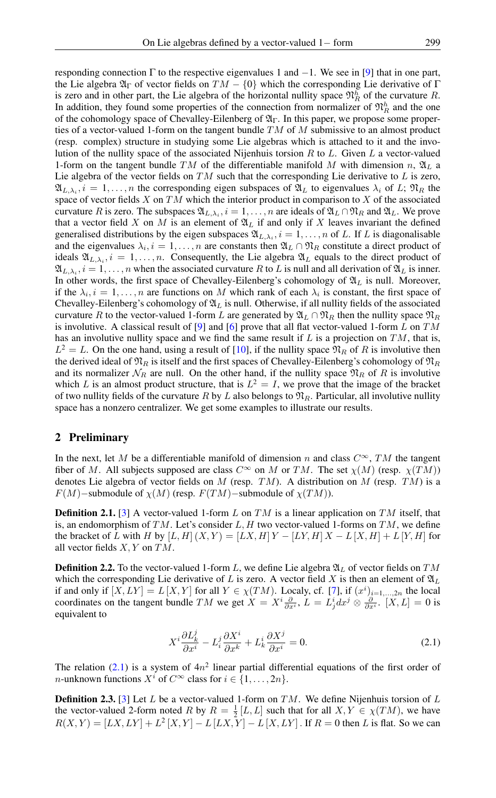responding connection  $\Gamma$  to the respective eigenvalues 1 and  $-1$ . We see in [\[9\]](#page-8-2) that in one part, the Lie algebra  $\mathfrak{A}_{\Gamma}$  of vector fields on  $TM - \{0\}$  which the corresponding Lie derivative of  $\Gamma$ is zero and in other part, the Lie algebra of the horizontal nullity space  $\mathfrak{N}_R^h$  of the curvature R. In addition, they found some properties of the connection from normalizer of  $\mathfrak{N}_R^h$  and the one of the cohomology space of Chevalley-Eilenberg of  $\mathfrak{A}_{\Gamma}$ . In this paper, we propose some properties of a vector-valued 1-form on the tangent bundle  $TM$  of M submissive to an almost product (resp. complex) structure in studying some Lie algebras which is attached to it and the involution of the nullity space of the associated Nijenhuis torsion  $R$  to  $L$ . Given  $L$  a vector-valued 1-form on the tangent bundle TM of the differentiable manifold M with dimension n,  $\mathfrak{A}_L$  a Lie algebra of the vector fields on  $TM$  such that the corresponding Lie derivative to  $L$  is zero,  $\mathfrak{A}_{L,\lambda_i}$ ,  $i = 1, \ldots, n$  the corresponding eigen subspaces of  $\mathfrak{A}_L$  to eigenvalues  $\lambda_i$  of L;  $\mathfrak{N}_R$  the space of vector fields  $X$  on  $TM$  which the interior product in comparison to  $X$  of the associated curvature R is zero. The subspaces  $\mathfrak{A}_{L,\lambda_i}$ ,  $i=1,\ldots,n$  are ideals of  $\mathfrak{A}_L \cap \mathfrak{N}_R$  and  $\mathfrak{A}_L$ . We prove that a vector field X on M is an element of  $\mathfrak{A}_L$  if and only if X leaves invariant the defined generalised distributions by the eigen subspaces  $\mathfrak{A}_{L,\lambda_i}$ ,  $i = 1, \ldots, n$  of L. If L is diagonalisable and the eigenvalues  $\lambda_i$ ,  $i = 1, ..., n$  are constants then  $\mathfrak{A}_L \cap \mathfrak{N}_R$  constitute a direct product of ideals  $\mathfrak{A}_{L,\lambda_i}$ ,  $i = 1, \ldots, n$ . Consequently, the Lie algebra  $\mathfrak{A}_L$  equals to the direct product of  $\mathfrak{A}_{L,\lambda_i}$ ,  $i=1,\ldots,n$  when the associated curvature R to L is null and all derivation of  $\mathfrak{A}_L$  is inner. In other words, the first space of Chevalley-Eilenberg's cohomology of  $\mathfrak{A}_L$  is null. Moreover, if the  $\lambda_i$ ,  $i = 1, \ldots, n$  are functions on M which rank of each  $\lambda_i$  is constant, the first space of Chevalley-Eilenberg's cohomology of  $\mathfrak{A}_L$  is null. Otherwise, if all nullity fields of the associated curvature R to the vector-valued 1-form L are generated by  $\mathfrak{A}_L \cap \mathfrak{N}_R$  then the nullity space  $\mathfrak{N}_R$ is involutive. A classical result of [\[9\]](#page-8-2) and [\[6\]](#page-8-3) prove that all flat vector-valued 1-form L on TM has an involutive nullity space and we find the same result if  $L$  is a projection on  $TM$ , that is,  $L^2 = L$ . On the one hand, using a result of [\[10\]](#page-9-1), if the nullity space  $\mathfrak{N}_R$  of R is involutive then the derived ideal of  $\mathfrak{N}_R$  is itself and the first spaces of Chevalley-Eilenberg's cohomology of  $\mathfrak{N}_R$ and its normalizer  $\mathcal{N}_R$  are null. On the other hand, if the nullity space  $\mathfrak{N}_R$  of R is involutive which L is an almost product structure, that is  $L^2 = I$ , we prove that the image of the bracket of two nullity fields of the curvature R by L also belongs to  $\mathfrak{N}_R$ . Particular, all involutive nullity space has a nonzero centralizer. We get some examples to illustrate our results.

#### 2 Preliminary

In the next, let M be a differentiable manifold of dimension n and class  $C^{\infty}$ , TM the tangent fiber of M. All subjects supposed are class  $C^{\infty}$  on M or TM. The set  $\chi(M)$  (resp.  $\chi(TM)$ ) denotes Lie algebra of vector fields on  $M$  (resp.  $TM$ ). A distribution on  $M$  (resp.  $TM$ ) is a  $F(M)$ –submodule of  $\chi(M)$  (resp.  $F(TM)$ –submodule of  $\chi(TM)$ ).

**Definition 2.1.** [\[3\]](#page-8-4) A vector-valued 1-form L on TM is a linear application on TM itself, that is, an endomorphism of TM. Let's consider L, H two vector-valued 1-forms on TM, we define the bracket of L with H by  $[L, H](X, Y) = [LX, H]Y - [LY, H]X - L[X, H] + L[Y, H]$  for all vector fields X, Y on TM.

**Definition 2.2.** To the vector-valued 1-form L, we define Lie algebra  $\mathfrak{A}_L$  of vector fields on TM which the corresponding Lie derivative of L is zero. A vector field X is then an element of  $\mathfrak{A}_L$ if and only if  $[X,LY] = L[X,Y]$  for all  $Y \in \chi(TM)$ . Localy, cf. [\[7\]](#page-8-5), if  $(x^i)_{i=1,\dots,2n}$  the local coordinates on the tangent bundle TM we get  $X = X^i \frac{\partial}{\partial x^i}$ ,  $L = L^i_j dx^j \otimes \frac{\partial}{\partial x^i}$ .  $[X, L] = 0$  is equivalent to

<span id="page-1-0"></span>
$$
X^{i}\frac{\partial L_{k}^{j}}{\partial x^{i}} - L_{i}^{j}\frac{\partial X^{i}}{\partial x^{k}} + L_{k}^{i}\frac{\partial X^{j}}{\partial x^{i}} = 0.
$$
 (2.1)

The relation [\(2.1\)](#page-1-0) is a system of  $4n^2$  linear partial differential equations of the first order of *n*-unknown functions  $X^i$  of  $C^{\infty}$  class for  $i \in \{1, ..., 2n\}$ .

**Definition 2.3.** [\[3\]](#page-8-4) Let L be a vector-valued 1-form on TM. We define Nijenhuis torsion of L the vector-valued 2-form noted R by  $R = \frac{1}{2}[L, L]$  such that for all  $X, Y \in \chi(TM)$ , we have  $R(X,Y) = [LX,LY] + L^2 [X,Y] - L [LX,Y] - L [X,LY]$ . If  $R = 0$  then L is flat. So we can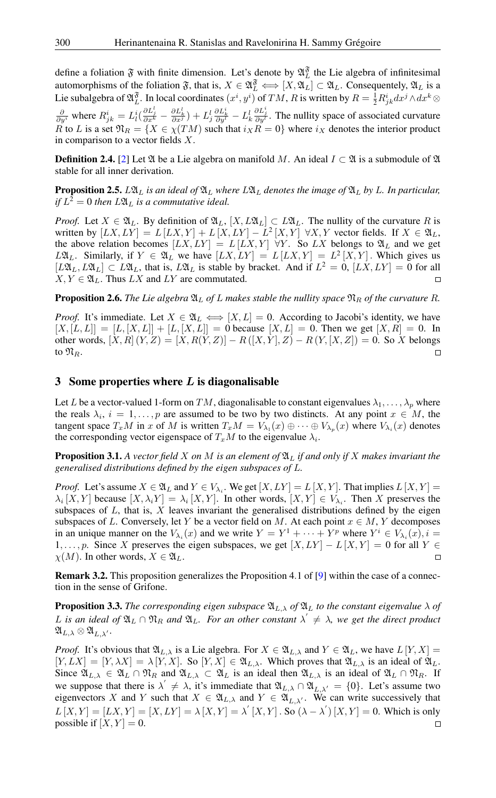define a foliation  $\mathfrak F$  with finite dimension. Let's denote by  $\mathfrak A_L^{\mathfrak F}$  the Lie algebra of infinitesimal automorphisms of the foliation  $\mathfrak{F}$ , that is,  $X \in \mathfrak{A}_{L}^{\mathfrak{F}} \Longleftrightarrow [X, \mathfrak{A}_{L}] \subset \mathfrak{A}_{L}$ . Consequentely,  $\mathfrak{A}_{L}$  is a Lie subalgebra of  $\mathfrak{A}^{\mathfrak{F}}_L$ . In local coordinates  $(x^i, y^i)$  of  $TM$ ,  $R$  is written by  $R = \frac{1}{2}R^i_{jk}dx^j \wedge dx^k \otimes$  $\frac{\partial}{\partial y^i}$  where  $R^i_{jk} = L^i_l(\frac{\partial L^l_j}{\partial x^k} - \frac{\partial L^l_k}{\partial x^j}) + L^l_j\frac{\partial L^i_k}{\partial y^l} - L^l_k$  $\frac{\partial L_j^i}{\partial y^l}$ . The nullity space of associated curvature R to L is a set  $\mathfrak{N}_R = \{X \in \chi(TM) \text{ such that } i_X R = 0\}$  where  $i_X$  denotes the interior product in comparison to a vector fields X.

**Definition 2.4.** [\[2\]](#page-8-6) Let  $\mathfrak{A}$  be a Lie algebra on manifold M. An ideal  $I \subset \mathfrak{A}$  is a submodule of  $\mathfrak{A}$ stable for all inner derivation.

**Proposition 2.5.**  $L\mathfrak{A}_L$  *is an ideal of*  $\mathfrak{A}_L$  *where*  $L\mathfrak{A}_L$  *denotes the image of*  $\mathfrak{A}_L$  *by* L. In particular, *if*  $L^2 = 0$  *then*  $L\mathfrak{A}_L$  *is a commutative ideal.* 

*Proof.* Let  $X \in \mathfrak{A}_L$ . By definition of  $\mathfrak{A}_L$ ,  $[X, L\mathfrak{A}_L] \subset L\mathfrak{A}_L$ . The nullity of the curvature R is written by  $[LX, LY] = L [LX, Y] + L [X, LY] - L^2 [X, Y] \forall X, Y$  vector fields. If  $X \in \mathfrak{A}_L$ , the above relation becomes  $[LX, LY] = L[LX, Y] \forall Y$ . So LX belongs to  $\mathfrak{A}_L$  and we get  $L\mathfrak{A}_L$ . Similarly, if  $Y \in \mathfrak{A}_L$  we have  $[LX,LY] = L[LX,Y] = L^2[X,Y]$ . Which gives us  $[L\mathfrak{A}_L, L\mathfrak{A}_L] \subset L\mathfrak{A}_L$ , that is,  $L\mathfrak{A}_L$  is stable by bracket. And if  $L^2 = 0$ ,  $[LX, LY] = 0$  for all  $X, Y \in \mathfrak{A}_L$ . Thus LX and LY are commutated.  $\Box$ 

**Proposition 2.6.** The Lie algebra  $\mathfrak{A}_L$  of L makes stable the nullity space  $\mathfrak{N}_R$  of the curvature R.

*Proof.* It's immediate. Let  $X \in \mathfrak{A}_L \Longleftrightarrow [X, L] = 0$ . According to Jacobi's identity, we have  $[X, [L, L]] = [L, [X, L]] + [L, [X, L]] = 0$  because  $[X, L] = 0$ . Then we get  $[X, R] = 0$ . In other words,  $[X, R](Y, Z) = [X, R(Y, Z)] - R([X, Y], Z) - R(Y, [X, Z]) = 0$ . So X belongs to  $\mathfrak{N}_R$ .  $\Box$ 

# 3 Some properties where  $L$  is diagonalisable

Let L be a vector-valued 1-form on TM, diagonalisable to constant eigenvalues  $\lambda_1, \ldots, \lambda_p$  where the reals  $\lambda_i$ ,  $i = 1, \ldots, p$  are assumed to be two by two distincts. At any point  $x \in M$ , the tangent space  $T_xM$  in x of M is written  $T_xM = V_{\lambda_1}(x) \oplus \cdots \oplus V_{\lambda_p}(x)$  where  $V_{\lambda_i}(x)$  denotes the corresponding vector eigenspace of  $T_xM$  to the eigenvalue  $\lambda_i$ .

**Proposition 3.1.** A vector field X on M is an element of  $\mathfrak{A}_L$  if and only if X makes invariant the *generalised distributions defined by the eigen subspaces of* L*.*

*Proof.* Let's assume  $X \in \mathfrak{A}_L$  and  $Y \in V_{\lambda_i}$ . We get  $[X, LY] = L[X, Y]$ . That implies  $L[X, Y] =$  $\lambda_i [X, Y]$  because  $[X, \lambda_i Y] = \lambda_i [X, Y]$ . In other words,  $[X, Y] \in V_{\lambda_i}$ . Then X preserves the subspaces of  $L$ , that is,  $X$  leaves invariant the generalised distributions defined by the eigen subspaces of L. Conversely, let Y be a vector field on M. At each point  $x \in M$ , Y decomposes in an unique manner on the  $V_{\lambda_i}(x)$  and we write  $Y = Y^1 + \cdots + Y^p$  where  $Y^i \in V_{\lambda_i}(x)$ ,  $i =$  $1, \ldots, p$ . Since X preserves the eigen subspaces, we get  $[X, LY] - L[X, Y] = 0$  for all  $Y \in$  $\chi(M)$ . In other words,  $X \in \mathfrak{A}_L$ .  $\Box$ 

Remark 3.2. This proposition generalizes the Proposition 4.1 of [\[9\]](#page-8-2) within the case of a connection in the sense of Grifone.

<span id="page-2-0"></span>**Proposition 3.3.** The corresponding eigen subspace  $\mathfrak{A}_{L,\lambda}$  of  $\mathfrak{A}_L$  to the constant eigenvalue  $\lambda$  of L is an ideal of  $\mathfrak{A}_L \cap \mathfrak{N}_R$  and  $\mathfrak{A}_L$ . For an other constant  $\lambda' \neq \lambda$ , we get the direct product  $\mathfrak{A}_{L,\lambda} \otimes \mathfrak{A}_{L,\lambda'}$ .

*Proof.* It's obvious that  $\mathfrak{A}_{L,\lambda}$  is a Lie algebra. For  $X \in \mathfrak{A}_{L,\lambda}$  and  $Y \in \mathfrak{A}_L$ , we have  $L[Y, X] =$  $[Y, LX] = [Y, \lambda X] = \lambda [Y, X]$ . So  $[Y, X] \in \mathfrak{A}_{L,\lambda}$ . Which proves that  $\mathfrak{A}_{L,\lambda}$  is an ideal of  $\mathfrak{A}_{L}$ . Since  $\mathfrak{A}_{L,\lambda} \in \mathfrak{A}_L \cap \mathfrak{N}_R$  and  $\mathfrak{A}_{L,\lambda} \subset \mathfrak{A}_L$  is an ideal then  $\mathfrak{A}_{L,\lambda}$  is an ideal of  $\mathfrak{A}_L \cap \mathfrak{N}_R$ . If we suppose that there is  $\lambda' \neq \lambda$ , it's immediate that  $\mathfrak{A}_{L,\lambda} \cap \mathfrak{A}_{L,\lambda'} = \{0\}$ . Let's assume two eigenvectors X and Y such that  $X \in \mathfrak{A}_{L,\lambda}$  and  $Y \in \mathfrak{A}_{L,\lambda'}$ . We can write successively that  $L[X, Y] = [LX, Y] = [X, LY] = \lambda [X, Y] = \lambda' [X, Y]$ . So  $(\lambda - \lambda') [X, Y] = 0$ . Which is only possible if  $[X, Y] = 0$ .  $\Box$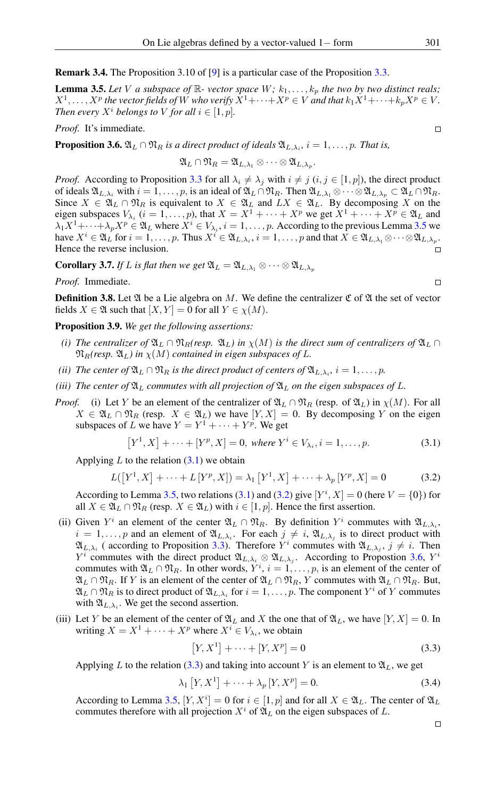Remark 3.4. The Proposition 3.10 of [\[9\]](#page-8-2) is a particular case of the Proposition [3.3.](#page-2-0)

<span id="page-3-0"></span>**Lemma 3.5.** Let V a subspace of  $\mathbb{R}$ - vector space  $W$ ;  $k_1, \ldots, k_p$  the two by two distinct reals;  $X^1, \ldots, X^p$  the vector fields of W who verify  $X^1 + \cdots + X^p \in V$  and that  $k_1X^1 + \cdots + k_pX^p \in V$ . *Then every*  $X^i$  *belongs to* V *for all*  $i \in [1, p]$ *.* 

*Proof.* It's immediate.

<span id="page-3-3"></span>**Proposition 3.6.**  $\mathfrak{A}_L \cap \mathfrak{N}_R$  is a direct product of ideals  $\mathfrak{A}_{L,\lambda_i}$ ,  $i = 1,\ldots,p$ . That is,

$$
\mathfrak{A}_L \cap \mathfrak{N}_R = \mathfrak{A}_{L,\lambda_1} \otimes \cdots \otimes \mathfrak{A}_{L,\lambda_p}.
$$

*Proof.* According to Proposition [3.3](#page-2-0) for all  $\lambda_i \neq \lambda_j$  with  $i \neq j$   $(i, j \in [1, p])$ , the direct product of ideals  $\mathfrak{A}_{L,\lambda_i}$  with  $i = 1, \ldots, p$ , is an ideal of  $\mathfrak{A}_L \cap \mathfrak{N}_R$ . Then  $\mathfrak{A}_{L,\lambda_1} \otimes \cdots \otimes \mathfrak{A}_{L,\lambda_p} \subset \mathfrak{A}_L \cap \mathfrak{N}_R$ . Since  $X \in \mathfrak{A}_L \cap \mathfrak{N}_R$  is equivalent to  $X \in \mathfrak{A}_L$  and  $LX \in \mathfrak{A}_L$ . By decomposing X on the eigen subspaces  $V_{\lambda_i}$   $(i = 1, ..., p)$ , that  $X = X^1 + \cdots + X^p$  we get  $X^1 + \cdots + X^p \in \mathfrak{A}_L$  and  $\lambda_1 X^1 + \cdots + \lambda_p X^p \in \mathfrak{A}_L$  where  $X^i \in V_{\lambda_i}$ ,  $i = 1, \ldots, p$ . According to the previous Lemma [3.5](#page-3-0) we have  $X^i \in \mathfrak{A}_L$  for  $i = 1, \ldots, p$ . Thus  $X^i \in \mathfrak{A}_{L,\lambda_i}$ ,  $i = 1, \ldots, p$  and that  $X \in \mathfrak{A}_{L,\lambda_1} \otimes \cdots \otimes \mathfrak{A}_{L,\lambda_p}$ . Hence the reverse inclusion.  $\Box$ 

<span id="page-3-5"></span>**Corollary 3.7.** *If L is flat then we get*  $\mathfrak{A}_L = \mathfrak{A}_{L,\lambda_1} \otimes \cdots \otimes \mathfrak{A}_{L,\lambda_n}$ 

*Proof.* Immediate.

**Definition 3.8.** Let  $\mathfrak{A}$  be a Lie algebra on M. We define the centralizer  $\mathfrak{C}$  of  $\mathfrak{A}$  the set of vector fields  $X \in \mathfrak{A}$  such that  $[X, Y] = 0$  for all  $Y \in \chi(M)$ .

Proposition 3.9. *We get the following assertions:*

- *(i) The centralizer of*  $\mathfrak{A}_L \cap \mathfrak{N}_R$ *(resp.*  $\mathfrak{A}_L$ *) in*  $\chi(M)$  *is the direct sum of centralizers of*  $\mathfrak{A}_L \cap$  $\mathfrak{N}_R$ (resp.  $\mathfrak{A}_L$ ) in  $\chi(M)$  contained in eigen subspaces of L.
- *(ii)* The center of  $\mathfrak{A}_L \cap \mathfrak{N}_R$  is the direct product of centers of  $\mathfrak{A}_{L,\lambda_i}$ ,  $i = 1,\ldots,p$ .
- *(iii) The center of*  $\mathfrak{A}_L$  *commutes with all projection of*  $\mathfrak{A}_L$  *on the eigen subspaces of* L.
- *Proof.* (i) Let Y be an element of the centralizer of  $\mathfrak{A}_L \cap \mathfrak{N}_R$  (resp. of  $\mathfrak{A}_L$ ) in  $\chi(M)$ . For all  $X \in \mathfrak{A}_L \cap \mathfrak{N}_R$  (resp.  $X \in \mathfrak{A}_L$ ) we have  $[Y, X] = 0$ . By decomposing Y on the eigen subspaces of L we have  $Y = Y^1 + \cdots + Y^p$ . We get

<span id="page-3-1"></span>
$$
[Y^1, X] + \dots + [Y^p, X] = 0, \text{ where } Y^i \in V_{\lambda_i}, i = 1, \dots, p. \tag{3.1}
$$

Applying  $L$  to the relation  $(3.1)$  we obtain

<span id="page-3-2"></span>
$$
L([Y1, X] + \dots + L[Yp, X]) = \lambda_1 [Y1, X] + \dots + \lambda_p [Yp, X] = 0
$$
 (3.2)

According to Lemma [3.5,](#page-3-0) two relations [\(3.1\)](#page-3-1) and [\(3.2\)](#page-3-2) give  $[Y^i, X] = 0$  (here  $V = \{0\}$ ) for all  $X \in \mathfrak{A}_L \cap \mathfrak{N}_R$  (resp.  $X \in \mathfrak{A}_L$ ) with  $i \in [1, p]$ . Hence the first assertion.

- (ii) Given  $Y^i$  an element of the center  $\mathfrak{A}_L \cap \mathfrak{N}_R$ . By definition  $Y^i$  commutes with  $\mathfrak{A}_{L,\lambda_i}$ ,  $i = 1, \ldots, p$  and an element of  $\mathfrak{A}_{L,\lambda_i}$ . For each  $j \neq i$ ,  $\mathfrak{A}_{L,\lambda_j}$  is to direct product with  $\mathfrak{A}_{L,\lambda_i}$  (according to Proposition [3.3\)](#page-2-0). Therefore  $Y^i$  commutes with  $\mathfrak{A}_{L,\lambda_j}$ ,  $j \neq i$ . Then  $Y^i$  commutes with the direct product  $\mathfrak{A}_{L,\lambda_i} \otimes \mathfrak{A}_{L,\lambda_j}$ . According to Propostion [3.6,](#page-3-3)  $Y^i$ commutes with  $\mathfrak{A}_L \cap \mathfrak{N}_R$ . In other words,  $Y^i$ ,  $i = 1, \ldots, p$ , is an element of the center of  $\mathfrak{A}_L \cap \mathfrak{N}_R$ . If Y is an element of the center of  $\mathfrak{A}_L \cap \mathfrak{N}_R$ , Y commutes with  $\mathfrak{A}_L \cap \mathfrak{N}_R$ . But,  $\mathfrak{A}_L \cap \mathfrak{N}_R$  is to direct product of  $\mathfrak{A}_{L,\lambda_i}$  for  $i=1,\ldots,p.$  The component  $Y^i$  of  $Y$  commutes with  $\mathfrak{A}_{L,\lambda_i}$ . We get the second assertion.
- (iii) Let Y be an element of the center of  $\mathfrak{A}_L$  and X the one that of  $\mathfrak{A}_L$ , we have  $[Y, X] = 0$ . In writing  $X = X^1 + \cdots + X^p$  where  $X^i \in V_{\lambda_i}$ , we obtain

<span id="page-3-4"></span>
$$
[Y, X^1] + \dots + [Y, X^p] = 0
$$
\n(3.3)

Applying L to the relation [\(3.3\)](#page-3-4) and taking into account Y is an element to  $\mathfrak{A}_L$ , we get

$$
\lambda_1 \left[ Y, X^1 \right] + \dots + \lambda_p \left[ Y, X^p \right] = 0. \tag{3.4}
$$

According to Lemma [3.5,](#page-3-0)  $[Y, X^i] = 0$  for  $i \in [1, p]$  and for all  $X \in \mathfrak{A}_L$ . The center of  $\mathfrak{A}_L$ commutes therefore with all projection  $X^i$  of  $\mathfrak{A}_L$  on the eigen subspaces of L.

 $\Box$ 

 $\Box$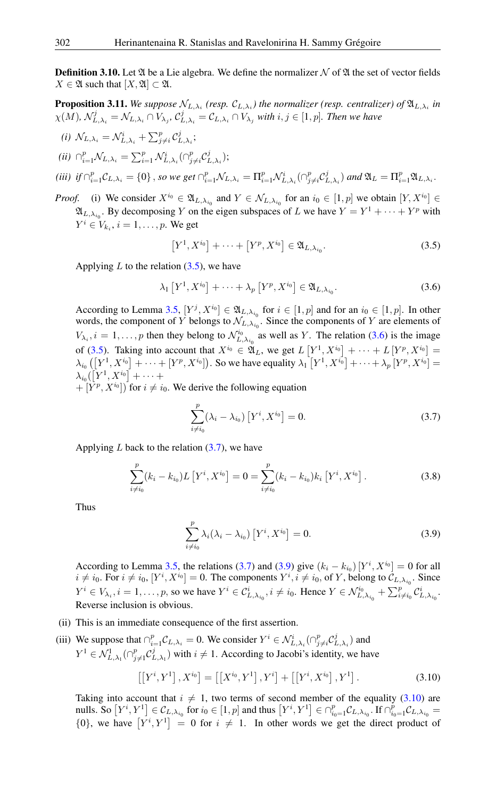**Definition 3.10.** Let  $\mathfrak A$  be a Lie algebra. We define the normalizer  $\mathcal N$  of  $\mathfrak A$  the set of vector fields  $X \in \mathfrak{A}$  such that  $[X, \mathfrak{A}] \subset \mathfrak{A}$ .

**Proposition 3.11.** We suppose  $\mathcal{N}_{L,\lambda_i}$  (resp.  $\mathcal{C}_{L,\lambda_i}$ ) the normalizer (resp. centralizer) of  $\mathfrak{A}_{L,\lambda_i}$  in  $\chi(M)$ ,  $\mathcal{N}_{L,\lambda_i}^j = \mathcal{N}_{L,\lambda_i} \cap V_{\lambda_j}$ ,  $\mathcal{C}_{L,\lambda_i}^j = \mathcal{C}_{L,\lambda_i} \cap V_{\lambda_j}$  with  $i, j \in [1, p]$ . Then we have

(i) 
$$
\mathcal{N}_{L,\lambda_i} = \mathcal{N}_{L,\lambda_i}^i + \sum_{j\neq i}^p \mathcal{C}_{L,\lambda_i}^j;
$$

(*ii*) 
$$
\bigcap_{i=1}^p \mathcal{N}_{L,\lambda_i} = \sum_{i=1}^p \mathcal{N}_{L,\lambda_i}^i \big( \bigcap_{j \neq i}^p \mathcal{C}_{L,\lambda_i}^j \big);
$$

(iii) if 
$$
\bigcap_{i=1}^p \mathcal{C}_{L,\lambda_i} = \{0\}
$$
, so we get  $\bigcap_{i=1}^p \mathcal{N}_{L,\lambda_i} = \Pi_{i=1}^p \mathcal{N}_{L,\lambda_i}^i \big(\bigcap_{j\neq i}^p \mathcal{C}_{L,\lambda_i}^j\big)$  and  $\mathfrak{A}_L = \Pi_{i=1}^p \mathfrak{A}_{L,\lambda_i}$ .

*Proof.* (i) We consider  $X^{i_0} \in \mathfrak{A}_{L,\lambda_{i_0}}$  and  $Y \in \mathcal{N}_{L,\lambda_{i_0}}$  for an  $i_0 \in [1,p]$  we obtain  $[Y, X^{i_0}] \in$  $\mathfrak{A}_{L,\lambda_{i_0}}$ . By decomposing Y on the eigen subspaces of L we have  $Y = Y^1 + \cdots + Y^p$  with  $Y^i \in V_{k_i}, i = 1, \ldots, p$ . We get

<span id="page-4-0"></span>
$$
[Y^1, X^{i_0}] + \cdots + [Y^p, X^{i_0}] \in \mathfrak{A}_{L, \lambda_{i_0}}.
$$
 (3.5)

Applying  $L$  to the relation  $(3.5)$ , we have

<span id="page-4-1"></span>
$$
\lambda_1 \left[ Y^1, X^{i_0} \right] + \dots + \lambda_p \left[ Y^p, X^{i_0} \right] \in \mathfrak{A}_{L, \lambda_{i_0}}.
$$
 (3.6)

According to Lemma [3.5,](#page-3-0)  $[Y^j, X^{i_0}] \in \mathfrak{A}_{L,\lambda_{i_0}}$  for  $i \in [1, p]$  and for an  $i_0 \in [1, p]$ . In other words, the component of Y belongs to  $\mathcal{N}_{L,\lambda_{i_0}}$ . Since the components of Y are elements of  $V_{\lambda_i}$ ,  $i = 1, \ldots, p$  then they belong to  $\mathcal{N}_{L, \lambda_{i_0}}^{i_0}$  as well as Y. The relation [\(3.6\)](#page-4-1) is the image of [\(3.5\)](#page-4-0). Taking into account that  $X^{i_0} \in \mathfrak{A}_L$ , we get  $L\left[ Y^1, X^{i_0} \right] + \cdots + L\left[ Y^p, X^{i_0} \right] =$  $\lambda_{i_0}\left(\left[Y^1,X^{i_0}\right]+\cdots+\left[Y^p,X^{i_0}\right]\right)$ . So we have equality  $\lambda_1\left[Y^1,X^{i_0}\right]+\cdots+\lambda_p\left[Y^p,X^{i_0}\right]=$  $\lambda_{i_0}([Y^1, X^{i_0}] + \cdots +$ 

 $+ [Y^{p}, X^{i_0}]$  for  $i \neq i_0$ . We derive the following equation

<span id="page-4-2"></span>
$$
\sum_{i \neq i_0}^{p} (\lambda_i - \lambda_{i_0}) \left[ Y^i, X^{i_0} \right] = 0.
$$
 (3.7)

Applying  $L$  back to the relation  $(3.7)$ , we have

$$
\sum_{i \neq i_0}^{p} (k_i - k_{i_0}) L\left[Y^i, X^{i_0}\right] = 0 = \sum_{i \neq i_0}^{p} (k_i - k_{i_0}) k_i\left[Y^i, X^{i_0}\right].
$$
\n(3.8)

Thus

<span id="page-4-3"></span>
$$
\sum_{i \neq i_0}^p \lambda_i (\lambda_i - \lambda_{i_0}) \left[ Y^i, X^{i_0} \right] = 0. \tag{3.9}
$$

According to Lemma [3.5,](#page-3-0) the relations [\(3.7\)](#page-4-2) and [\(3.9\)](#page-4-3) give  $(k_i - k_{i_0}) [Y^i, X^{i_0}] = 0$  for all  $i \neq i_0$ . For  $i \neq i_0$ ,  $[Y^i, X^{i_0}] = 0$ . The components  $Y^i, i \neq i_0$ , of Y, belong to  $\mathcal{C}_{L,\lambda_{i_0}}$ . Since  $Y^i \in V_{\lambda_i}$ ,  $i = 1, \ldots, p$ , so we have  $Y^i \in C_{L,\lambda_{i_0}}^i$ ,  $i \neq i_0$ . Hence  $Y \in \mathcal{N}_{L,\lambda_{i_0}}^{i_0} + \sum_{i \neq i_0}^p \mathcal{C}_{L,\lambda_{i_0}}^i$ . Reverse inclusion is obvious.

- (ii) This is an immediate consequence of the first assertion.
- (iii) We suppose that  $\bigcap_{i=1}^p \mathcal{C}_{L,\lambda_i} = 0$ . We consider  $Y^i \in \mathcal{N}_{L,\lambda_i}^i(\bigcap_{j \neq i}^p \mathcal{C}_{L,\lambda_i}^j)$  and  $Y^1 \in \mathcal{N}_{L,\lambda_1}^1(\bigcap_{j=1}^p \mathcal{C}_{L,\lambda_1}^j)$  with  $i \neq 1$ . According to Jacobi's identity, we have

<span id="page-4-4"></span>
$$
\left[\left[Y^{i}, Y^{1}\right], X^{i_{0}}\right] = \left[\left[X^{i_{0}}, Y^{1}\right], Y^{i}\right] + \left[\left[Y^{i}, X^{i_{0}}\right], Y^{1}\right].
$$
\n(3.10)

Taking into account that  $i \neq 1$ , two terms of second member of the equality [\(3.10\)](#page-4-4) are nulls. So  $[Y^i, Y^1] \in C_{L,\lambda_{i_0}}$  for  $i_0 \in [1, p]$  and thus  $[Y^i, Y^1] \in \bigcap_{i_0=1}^p C_{L,\lambda_{i_0}}$ . If  $\bigcap_{i_0=1}^p C_{L,\lambda_{i_0}} =$  $\{0\}$ , we have  $[Y^i, Y^1] = 0$  for  $i \neq 1$ . In other words we get the direct product of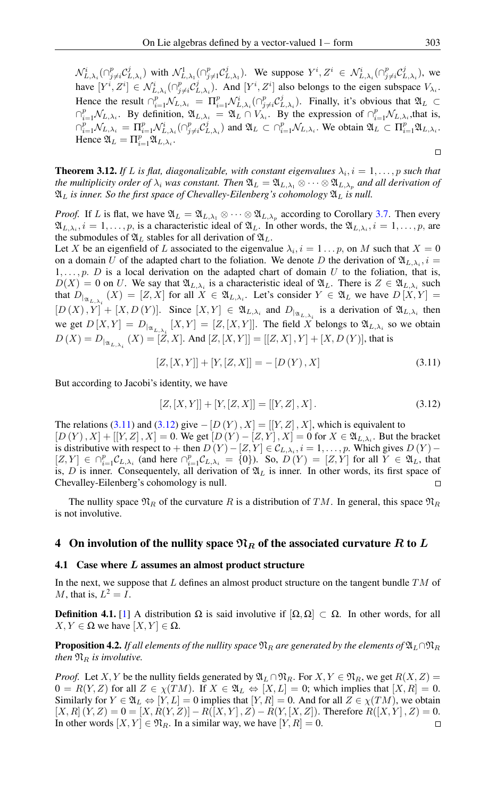$\mathcal{N}_{L,\lambda_i}^i(\bigcap_{j\neq i}^p \mathcal{C}_{L,\lambda_i}^j)$  with  $\mathcal{N}_{L,\lambda_1}^1(\bigcap_{j\neq 1}^p \mathcal{C}_{L,\lambda_1}^j)$ . We suppose  $Y^i, Z^i \in \mathcal{N}_{L,\lambda_i}^i(\bigcap_{j\neq i}^p \mathcal{C}_{L,\lambda_i}^j)$ , we have  $[Y^i, Z^i] \in \mathcal{N}_{L,\lambda_i}^i(\bigcap_{j \neq i}^p \mathcal{C}_{L,\lambda_i}^j)$ . And  $[Y^i, Z^i]$  also belongs to the eigen subspace  $V_{\lambda_i}$ . Hence the result  $\bigcap_{i=1}^p \mathcal{N}_{L,\lambda_i} = \Pi_{i=1}^p \mathcal{N}_{L,\lambda_i}^i(\bigcap_{j\neq i}^p \mathcal{C}_{L,\lambda_i}^j)$ . Finally, it's obvious that  $\mathfrak{A}_L \subset$  $\bigcap_{i=1}^p \mathcal{N}_{L,\lambda_i}$ . By definition,  $\mathfrak{A}_{L,\lambda_i} = \mathfrak{A}_L \cap V_{\lambda_i}$ . By the expression of  $\bigcap_{i=1}^p \mathcal{N}_{L,\lambda_i}$ , that is,  $\bigcap_{i=1}^p \mathcal{N}_{L,\lambda_i} = \Pi_{i=1}^p \mathcal{N}_{L,\lambda_i}^i(\bigcap_{j\neq i}^p \mathcal{C}_{L,\lambda_i}^j)$  and  $\mathfrak{A}_L \subset \bigcap_{i=1}^p \mathcal{N}_{L,\lambda_i}$ . We obtain  $\mathfrak{A}_L \subset \Pi_{i=1}^p \mathfrak{A}_{L,\lambda_i}$ . Hence  $\mathfrak{A}_L = \Pi_{i=1}^p \mathfrak{A}_{L,\lambda_i}$ .

**Theorem 3.12.** If L is flat, diagonalizable, with constant eigenvalues  $\lambda_i$ ,  $i = 1, \ldots, p$  such that *the multiplicity order of*  $\lambda_i$  *was constant. Then*  $\mathfrak{A}_L = \mathfrak{A}_{L,\lambda_1} \otimes \cdots \otimes \mathfrak{A}_{L,\lambda_n}$  *and all derivation of*  $\mathfrak{A}_L$  *is inner. So the first space of Chevalley-Eilenberg's cohomology*  $\mathfrak{A}_L$  *is null.* 

*Proof.* If L is flat, we have  $\mathfrak{A}_L = \mathfrak{A}_{L,\lambda_1} \otimes \cdots \otimes \mathfrak{A}_{L,\lambda_p}$  according to Corollary [3.7.](#page-3-5) Then every  $\mathfrak{A}_{L,\lambda_i}$ ,  $i = 1, \ldots, p$ , is a characteristic ideal of  $\mathfrak{A}_L$ . In other words, the  $\mathfrak{A}_{L,\lambda_i}$ ,  $i = 1, \ldots, p$ , are the submodules of  $\mathfrak{A}_L$  stables for all derivation of  $\mathfrak{A}_L$ .

Let X be an eigenfield of L associated to the eigenvalue  $\lambda_i$ ,  $i = 1 \dots p$ , on M such that  $X = 0$ on a domain U of the adapted chart to the foliation. We denote D the derivation of  $\mathfrak{A}_{L,\lambda_i}$ ,  $i =$  $1, \ldots, p$ . *D* is a local derivation on the adapted chart of domain U to the foliation, that is,  $D(X) = 0$  on U. We say that  $\mathfrak{A}_{L,\lambda_i}$  is a characteristic ideal of  $\mathfrak{A}_L$ . There is  $Z \in \mathfrak{A}_{L,\lambda_i}$  such that  $D_{\vert_{\mathfrak{A}_{L,\lambda_i}}}(X) = [Z, X]$  for all  $X \in \mathfrak{A}_{L,\lambda_i}$ . Let's consider  $Y \in \mathfrak{A}_L$  we have  $D[X, Y] =$  $[D(X), Y] + [X, D(Y)]$ . Since  $[X, Y] \in \mathfrak{A}_{L, \lambda_i}$  and  $D_{|\mathfrak{A}_{L, \lambda_i}}$  is a derivation of  $\mathfrak{A}_{L, \lambda_i}$  then we get  $D[X,Y] = D_{\vert \alpha_{L,\lambda_i}}[X,Y] = [Z,[X,Y]]$ . The field X belongs to  $\mathfrak{A}_{L,\lambda_i}$  so we obtain  $D(X) = D_{|_{\mathfrak{A}_{L,\lambda_i}}} (X) = [Z,X]$ . And  $[Z,[X,Y]] = [[Z,X],Y] + [X,D(Y)]$ , that is

<span id="page-5-0"></span>
$$
[Z, [X, Y]] + [Y, [Z, X]] = -[D(Y), X]
$$
\n(3.11)

But according to Jacobi's identity, we have

<span id="page-5-1"></span>
$$
[Z, [X, Y]] + [Y, [Z, X]] = [[Y, Z], X].
$$
\n(3.12)

The relations [\(3.11\)](#page-5-0) and [\(3.12\)](#page-5-1) give  $-[D(Y), X] = [[Y, Z], X]$ , which is equivalent to  $[D(Y), X] + [[Y, Z], X] = 0$ . We get  $[D(Y) - [Z, Y], X] = 0$  for  $X \in \mathfrak{A}_{L, \lambda_i}$ . But the bracket is distributive with respect to + then  $D(Y) - [Z, Y] \in C_{L,\lambda_i}, i = 1, \dots, p$ . Which gives  $D(Y)$  –  $[Z, Y] \in \bigcap_{i=1}^p \mathcal{C}_{L,\lambda_i}$  (and here  $\bigcap_{i=1}^p \mathcal{C}_{L,\lambda_i} = \{0\}$ ). So,  $D(Y) = [Z, Y]$  for all  $Y \in \mathfrak{A}_L$ , that is,  $D$  is inner. Consequentely, all derivation of  $\mathfrak{A}_L$  is inner. In other words, its first space of Chevalley-Eilenberg's cohomology is null.

The nullity space  $\mathfrak{N}_R$  of the curvature R is a distribution of TM. In general, this space  $\mathfrak{N}_R$ is not involutive.

#### 4 On involution of the nullity space  $\mathfrak{N}_R$  of the associated curvature R to L

#### 4.1 Case where  $L$  assumes an almost product structure

In the next, we suppose that  $L$  defines an almost product structure on the tangent bundle  $TM$  of M, that is,  $L^2 = I$ .

**Definition 4.1.** [\[1\]](#page-8-1) A distribution  $\Omega$  is said involutive if  $[\Omega, \Omega] \subset \Omega$ . In other words, for all  $X, Y \in \Omega$  we have  $[X, Y] \in \Omega$ .

<span id="page-5-2"></span>**Proposition 4.2.** *If all elements of the nullity space*  $\mathfrak{N}_R$  *are generated by the elements of*  $\mathfrak{A}_L \cap \mathfrak{N}_R$ *then*  $\mathfrak{N}_R$  *is involutive.* 

*Proof.* Let X, Y be the nullity fields generated by  $\mathfrak{A}_L \cap \mathfrak{N}_R$ . For  $X, Y \in \mathfrak{N}_R$ , we get  $R(X, Z) =$  $0 = R(Y, Z)$  for all  $Z \in \chi(TM)$ . If  $X \in \mathfrak{A}_L \Leftrightarrow [X, L] = 0$ ; which implies that  $[X, R] = 0$ . Similarly for  $Y \in \mathfrak{A}_L \Leftrightarrow [Y, L] = 0$  implies that  $[Y, R] = 0$ . And for all  $Z \in \chi(TM)$ , we obtain  $[X, R](Y, Z) = 0 = [X, R(Y, Z)] - R([X, Y], Z) - R(Y, [X, Z])$ . Therefore  $R([X, Y], Z) = 0$ . In other words  $[X, Y] \in \mathfrak{N}_R$ . In a similar way, we have  $[Y, R] = 0$ .  $\Box$ 

 $\Box$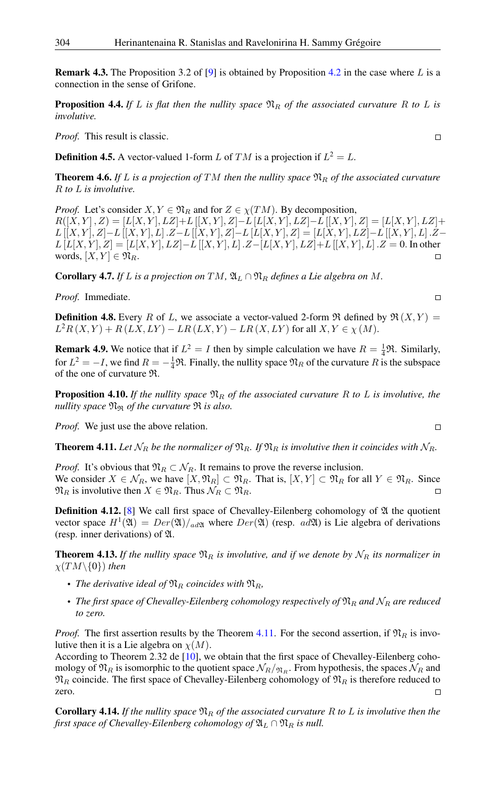**Remark 4.3.** The Proposition 3.2 of [\[9\]](#page-8-2) is obtained by Proposition [4.2](#page-5-2) in the case where L is a connection in the sense of Grifone.

**Proposition 4.4.** *If* L *is flat then the nullity space*  $\mathfrak{N}_R$  *of the associated curvature* R *to* L *is involutive.*

*Proof.* This result is classic.

**Definition 4.5.** A vector-valued 1-form L of TM is a projection if  $L^2 = L$ .

**Theorem 4.6.** If L is a projection of TM then the nullity space  $\mathfrak{N}_R$  of the associated curvature R *to* L *is involutive.*

*Proof.* Let's consider  $X, Y \in \mathfrak{N}_R$  and for  $Z \in \chi(TM)$ . By decomposition,  $R([X, Y], Z) = [L[X, Y], LZ] + L[[X, Y], Z] - L[L[X, Y], LZ] - L[[X, Y], Z] = [L[X, Y], LZ] + L[X, Y], Z]$  $L\left[[X,Y],Z\right]-L\left[[X,Y],L\right].Z-L\left[[X,Y],Z\right]-L\left[L[X,Y],Z\right]=\left[L[X,Y],LZ\right]-L\left[[X,Y],L\right].Z-1$  $L[L[X, Y], Z] = [L[X, Y], LZ] - L[[X, Y], L]$  .  $Z - [L[X, Y], LZ] + L[[X, Y], L]$  .  $Z = 0$ . In other words,  $[X, Y] \in \mathfrak{N}_R$ .  $\Box$ 

**Corollary 4.7.** *If L is a projection on*  $TM$ ,  $\mathfrak{A}_L \cap \mathfrak{N}_R$  *defines a Lie algebra on* M.

*Proof.* Immediate.

**Definition 4.8.** Every R of L, we associate a vector-valued 2-form  $\Re$  defined by  $\Re(X, Y) =$  $L^2R(X,Y) + R(LX,LY) - LR(LX,Y) - LR(X,LY)$  for all  $X,Y \in \chi(M)$ .

**Remark 4.9.** We notice that if  $L^2 = I$  then by simple calculation we have  $R = \frac{1}{4}\mathfrak{R}$ . Similarly, for  $L^2 = -I$ , we find  $R = -\frac{1}{4}\Re$ . Finally, the nullity space  $\Re_R$  of the curvature R is the subspace of the one of curvature R.

**Proposition 4.10.** If the nullity space  $\mathfrak{N}_R$  of the associated curvature R to L is involutive, the *nullity space* N<sup>R</sup> *of the curvature* R *is also.*

*Proof.* We just use the above relation.

<span id="page-6-0"></span>**Theorem 4.11.** Let  $\mathcal{N}_R$  be the normalizer of  $\mathfrak{N}_R$ . If  $\mathfrak{N}_R$  is involutive then it coincides with  $\mathcal{N}_R$ .

*Proof.* It's obvious that  $\mathfrak{N}_R \subset \mathcal{N}_R$ . It remains to prove the reverse inclusion. We consider  $X \in \mathcal{N}_R$ , we have  $[X, \mathfrak{N}_R] \subset \mathfrak{N}_R$ . That is,  $[X, Y] \subset \mathfrak{N}_R$  for all  $Y \in \mathfrak{N}_R$ . Since  $\mathfrak{N}_R$  is involutive then  $X \in \mathfrak{N}_R$ . Thus  $\mathcal{N}_R \subset \mathfrak{N}_R$ .  $\Box$ 

**Definition 4.12.** [\[8\]](#page-8-7) We call first space of Chevalley-Eilenberg cohomology of  $\mathfrak A$  the quotient vector space  $H^1(\mathfrak{A}) = Der(\mathfrak{A})/_{ad\mathfrak{A}}$  where  $Der(\mathfrak{A})$  (resp. ad $\mathfrak{A}$ ) is Lie algebra of derivations (resp. inner derivations) of A.

<span id="page-6-1"></span>**Theorem 4.13.** If the nullity space  $\mathfrak{N}_R$  is involutive, and if we denote by  $\mathcal{N}_R$  its normalizer in  $\chi(TM\backslash\{0\})$  *then* 

- *The derivative ideal of*  $\mathfrak{N}_R$  *coincides with*  $\mathfrak{N}_R$ *,*
- *The first space of Chevalley-Eilenberg cohomology respectively of*  $\mathfrak{N}_R$  *and*  $\mathfrak{N}_R$  *are reduced to zero.*

*Proof.* The first assertion results by the Theorem [4.11.](#page-6-0) For the second assertion, if  $\mathfrak{N}_R$  is involutive then it is a Lie algebra on  $\chi(M)$ .

According to Theorem 2.32 de [\[10\]](#page-9-1), we obtain that the first space of Chevalley-Eilenberg cohomology of  $\mathfrak{N}_R$  is isomorphic to the quotient space  $\mathcal{N}_R/\mathfrak{N}_R$ . From hypothesis, the spaces  $\mathcal{N}_R$  and  $\mathfrak{N}_R$  coincide. The first space of Chevalley-Eilenberg cohomology of  $\mathfrak{N}_R$  is therefore reduced to zero. П

**Corollary 4.14.** If the nullity space  $\mathfrak{N}_R$  of the associated curvature R to L is involutive then the *first space of Chevalley-Eilenberg cohomology of*  $\mathfrak{A}_L \cap \mathfrak{N}_R$  *is null.* 

$$
\Box
$$

 $\Box$ 

 $\Box$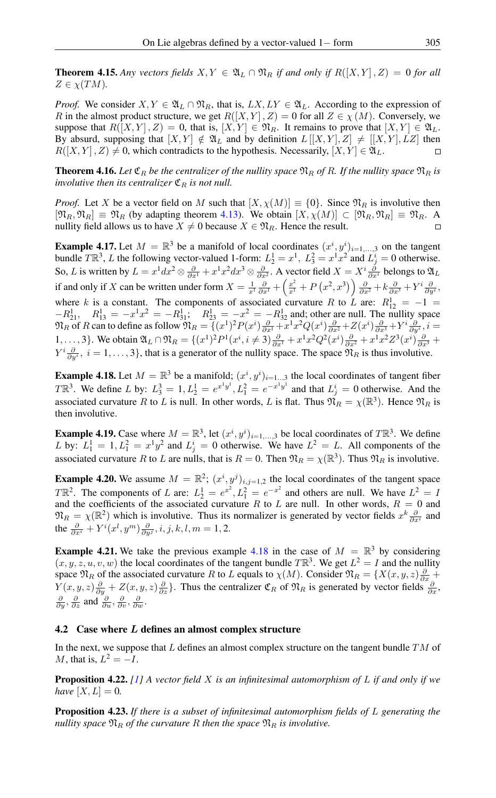**Theorem 4.15.** Any vectors fields  $X, Y \in \mathfrak{A}_L \cap \mathfrak{N}_R$  if and only if  $R([X, Y], Z) = 0$  for all  $Z \in \chi(TM)$ .

*Proof.* We consider  $X, Y \in \mathfrak{A}_L \cap \mathfrak{N}_R$ , that is,  $LX, LY \in \mathfrak{A}_L$ . According to the expression of R in the almost product structure, we get  $R([X, Y], Z) = 0$  for all  $Z \in \chi(M)$ . Conversely, we suppose that  $R([X, Y], Z) = 0$ , that is,  $[X, Y] \in \mathfrak{N}_R$ . It remains to prove that  $[X, Y] \in \mathfrak{A}_L$ . By absurd, supposing that  $[X, Y] \notin \mathfrak{A}_L$  and by definition  $L[[X, Y], Z] \neq [[X, Y], LZ]$  then  $R([X, Y], Z) \neq 0$ , which contradicts to the hypothesis. Necessarily,  $[X, Y] \in \mathfrak{A}_L$ .

<span id="page-7-3"></span>**Theorem 4.16.** Let  $\mathfrak{C}_R$  be the centralizer of the nullity space  $\mathfrak{N}_R$  of R. If the nullity space  $\mathfrak{N}_R$  is *involutive then its centralizer*  $\mathfrak{C}_R$  *is not null.* 

*Proof.* Let X be a vector field on M such that  $[X, \chi(M)] \equiv \{0\}$ . Since  $\mathfrak{N}_R$  is involutive then  $[\mathfrak{N}_R, \mathfrak{N}_R] \equiv \mathfrak{N}_R$  (by adapting theorem [4.13\)](#page-6-1). We obtain  $[X, \chi(M)] \subset [\mathfrak{N}_R, \mathfrak{N}_R] \equiv \mathfrak{N}_R$ . A nullity field allows us to have  $X \neq 0$  because  $X \in \mathfrak{N}_R$ . Hence the result.

**Example 4.17.** Let  $M = \mathbb{R}^3$  be a manifold of local coordinates  $(x^i, y^i)_{i=1,\dots,3}$  on the tangent bundle  $T\mathbb{R}^3$ , L the following vector-valued 1-form:  $L_2^1 = x^1$ ,  $L_3^2 = x^1x^2$  and  $L_j^i = 0$  otherwise. So, L is written by  $L = x^1 dx^2 \otimes \frac{\partial}{\partial x^1} + x^1 x^2 dx^3 \otimes \frac{\partial}{\partial x^2}$ . A vector field  $X = X^i \frac{\partial}{\partial x^i}$  belongs to  $\mathfrak{A}_L$ if and only if X can be written under form  $X = \frac{1}{x^1} \frac{\partial}{\partial x^1} + \left(\frac{x^2}{x^1} + P(x^2, x^3)\right) \frac{\partial}{\partial x^2} + k \frac{\partial}{\partial x^3} + Y^i \frac{\partial}{\partial y^i}$ where k is a constant. The components of associated curvature R to L are:  $R_{12}^1 = -1$  $-R_{21}^1$ ,  $R_{13}^1 = -x^1x^2 = -R_{31}^1$ ;  $R_{23}^1 = -x^2 = -R_{32}^1$  and; other are null. The nullity space  $\mathfrak{N}_R$  of R can to define as follow  $\mathfrak{N}_R = \{(x^1)^2 P(x^i) \frac{\partial}{\partial x^1} + x^1 x^2 Q(x^i) \frac{\partial}{\partial x^2} + Z(x^i) \frac{\partial}{\partial x^3} + Y^i \frac{\partial}{\partial y^i}, i =$ 1,..., 3}. We obtain  $\mathfrak{A}_L \cap \mathfrak{N}_R = \{ (x^1)^2 P^1 (x^i, i \neq 3) \frac{\partial}{\partial x^1} + x^1 x^2 Q^2 (x^i) \frac{\partial}{\partial x^2} + x^1 x^2 Z^3 (x^i) \frac{\partial}{\partial x^3} +$  $Y^i \frac{\partial}{\partial y^i}$ ,  $i = 1, ..., 3$ , that is a generator of the nullity space. The space  $\mathfrak{N}_R$  is thus involutive.

<span id="page-7-0"></span>**Example 4.18.** Let  $M = \mathbb{R}^3$  be a manifold;  $(x^i, y^i)_{i=1...3}$  the local coordinates of tangent fiber  $T\mathbb{R}^3$ . We define L by:  $L_3^3 = 1, L_2^1 = e^{x^1y^1}, L_1^2 = e^{-x^1y^1}$  and that  $L_j^i = 0$  otherwise. And the associated curvature R to L is null. In other words, L is flat. Thus  $\mathfrak{N}_R = \chi(\mathbb{R}^3)$ . Hence  $\mathfrak{N}_R$  is then involutive.

**Example 4.19.** Case where  $M = \mathbb{R}^3$ , let  $(x^i, y^i)_{i=1,\dots,3}$  be local coordinates of  $T\mathbb{R}^3$ . We define L by:  $L_1^1 = 1, L_1^2 = x^1y^2$  and  $L_j^i = 0$  otherwise. We have  $L^2 = L$ . All components of the associated curvature R to L are nulls, that is  $R = 0$ . Then  $\mathfrak{N}_R = \chi(\mathbb{R}^3)$ . Thus  $\mathfrak{N}_R$  is involutive.

**Example 4.20.** We assume  $M = \mathbb{R}^2$ ;  $(x^i, y^j)_{i,j=1,2}$  the local coordinates of the tangent space  $T\mathbb{R}^2$ . The components of L are:  $L_2^1 = e^{x^2}$ ,  $L_1^2 = e^{-x^2}$  and others are null. We have  $L^2 = L_1^2$ and the coefficients of the associated curvature R to L are null. In other words,  $R = 0$  and  $\mathfrak{N}_R = \chi(\mathbb{R}^2)$  which is involutive. Thus its normalizer is generated by vector fields  $x^k \frac{\partial}{\partial x^i}$  and the  $\frac{\partial}{\partial x^i} + Y^i(x^l, y^m) \frac{\partial}{\partial y^j}, i, j, k, l, m = 1, 2.$ 

**Example 4.21.** We take the previous example [4.18](#page-7-0) in the case of  $M = \mathbb{R}^3$  by considering  $(x, y, z, u, v, w)$  the local coordinates of the tangent bundle  $T\mathbb{R}^3$ . We get  $L^2 = I$  and the nullity space  $\mathfrak{N}_R$  of the associated curvature R to L equals to  $\chi(M)$ . Consider  $\mathfrak{N}_R = \{X(x, y, z) \frac{\partial}{\partial x} + \chi(X, y, z) \frac{\partial}{\partial y} + \chi(X, y, z) \frac{\partial}{\partial z} + \chi(X, y, z) \frac{\partial}{\partial z} + \chi(X, y, z) \frac{\partial}{\partial z} + \chi(X, y, z) \frac{\partial}{\partial z} + \chi(X, y, z) \frac{\partial}{\partial z} + \chi(X, y$  $Y(x, y, z) \frac{\partial}{\partial y} + Z(x, y, z) \frac{\partial}{\partial z}$ . Thus the centralizer  $\mathfrak{C}_R$  of  $\mathfrak{N}_R$  is generated by vector fields  $\frac{\partial}{\partial x}$ ,  $\frac{\partial}{\partial y}$ ,  $\frac{\partial}{\partial z}$  and  $\frac{\partial}{\partial u}, \frac{\partial}{\partial v}, \frac{\partial}{\partial w}$ .

#### 4.2 Case where  $L$  defines an almost complex structure

In the next, we suppose that  $L$  defines an almost complex structure on the tangent bundle  $TM$  of M, that is,  $L^2 = -I$ .

<span id="page-7-1"></span>Proposition 4.22. *[\[1\]](#page-8-1) A vector field* X *is an infinitesimal automorphism of* L *if and only if we have*  $[X, L] = 0$ *.* 

<span id="page-7-2"></span>Proposition 4.23. *If there is a subset of infinitesimal automorphism fields of* L *generating the nullity space*  $\mathfrak{N}_R$  *of the curvature* R *then the space*  $\mathfrak{N}_R$  *is involutive.*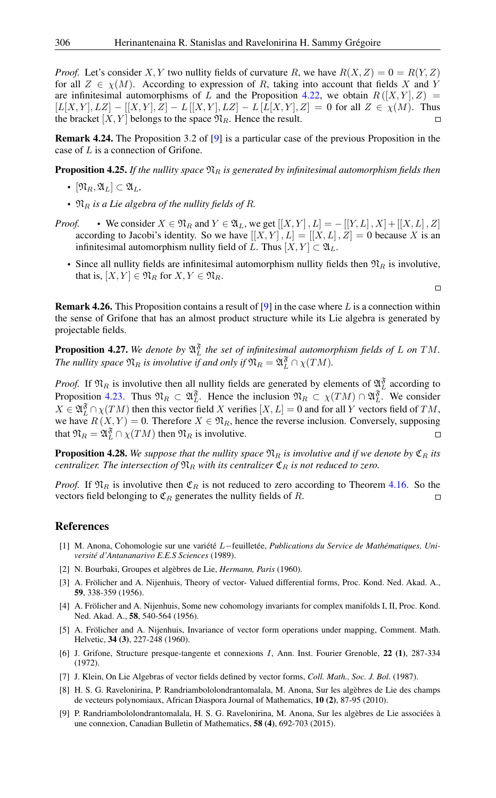*Proof.* Let's consider X, Y two nullity fields of curvature R, we have  $R(X, Z) = 0 = R(Y, Z)$ for all  $Z \in \chi(M)$ . According to expression of R, taking into account that fields X and Y are infinitesimal automorphisms of L and the Proposition [4.22,](#page-7-1) we obtain  $R([X, Y], Z) =$  $[L[X, Y], LZ] - [[X, Y], Z] - L[[X, Y], LZ] - L[L[X, Y], Z] = 0$  for all  $Z \in \chi(M)$ . Thus the bracket  $[X, Y]$  belongs to the space  $\mathfrak{N}_R$ . Hence the result.

Remark 4.24. The Proposition 3.2 of [\[9\]](#page-8-2) is a particular case of the previous Proposition in the case of L is a connection of Grifone.

**Proposition 4.25.** If the nullity space  $\mathfrak{N}_R$  is generated by infinitesimal automorphism fields then

- $[\mathfrak{N}_R, \mathfrak{A}_L] \subset \mathfrak{A}_L$
- $\mathfrak{N}_R$  *is a Lie algebra of the nullity fields of R.*
- *Proof.* We consider  $X \in \mathfrak{N}_R$  and  $Y \in \mathfrak{A}_L$ , we get  $[[X, Y], L] = -[[Y, L], X] + [[X, L], Z]$ according to Jacobi's identity. So we have  $[[X, Y], L] = [[X, L], Z] = 0$  because X is an infinitesimal automorphism nullity field of L. Thus  $[X, Y] \subset \mathfrak{A}_L$ .
	- Since all nullity fields are infinitesimal automorphism nullity fields then  $\mathfrak{N}_R$  is involutive, that is,  $[X, Y] \in \mathfrak{N}_R$  for  $X, Y \in \mathfrak{N}_R$ .

 $\Box$ 

**Remark 4.26.** This Proposition contains a result of [\[9\]](#page-8-2) in the case where  $L$  is a connection within the sense of Grifone that has an almost product structure while its Lie algebra is generated by projectable fields.

**Proposition 4.27.** We denote by  $\mathfrak{A}^{\mathfrak{F}}_L$  the set of infinitesimal automorphism fields of L on TM. *The nullity space*  $\mathfrak{N}_R$  *is involutive if and only if*  $\mathfrak{N}_R = \mathfrak{A}_L^{\mathfrak{F}} \cap \chi(TM)$ *.* 

*Proof.* If  $\mathfrak{N}_R$  is involutive then all nullity fields are generated by elements of  $\mathfrak{A}_L^{\mathfrak{F}}$  according to Proposition [4.23.](#page-7-2) Thus  $\mathfrak{N}_R \subset \mathfrak{A}_L^{\mathfrak{F}}$ . Hence the inclusion  $\mathfrak{N}_R \subset \chi(TM) \cap \mathfrak{A}_L^{\mathfrak{F}}$ . We consider  $X \in \mathfrak{A}^{\mathfrak{F}}_L \cap \chi(TM)$  then this vector field X verifies  $[X, L] = 0$  and for all Y vectors field of TM, we have  $R(X, Y) = 0$ . Therefore  $X \in \mathfrak{N}_R$ , hence the reverse inclusion. Conversely, supposing that  $\mathfrak{N}_R = \mathfrak{A}_L^{\mathfrak{F}} \cap \chi(TM)$  then  $\mathfrak{N}_R$  is involutive.  $\Box$ 

**Proposition 4.28.** We suppose that the nullity space  $\mathfrak{N}_R$  is involutive and if we denote by  $\mathfrak{C}_R$  its *centralizer. The intersection of*  $\mathfrak{N}_R$  *with its centralizer*  $\mathfrak{C}_R$  *is not reduced to zero.* 

*Proof.* If  $\mathfrak{N}_R$  is involutive then  $\mathfrak{C}_R$  is not reduced to zero according to Theorem [4.16.](#page-7-3) So the vectors field belonging to  $\mathfrak{C}_R$  generates the nullity fields of R.  $\Box$ 

### <span id="page-8-0"></span>References

- <span id="page-8-1"></span>[1] M. Anona, Cohomologie sur une variété L−feuilletée, *Publications du Service de Mathématiques, Université d'Antananarivo E.E.S Sciences* (1989).
- <span id="page-8-6"></span>[2] N. Bourbaki, Groupes et algèbres de Lie, *Hermann, Paris* (1960).
- <span id="page-8-4"></span>[3] A. Frölicher and A. Nijenhuis, Theory of vector- Valued differential forms, Proc. Kond. Ned. Akad. A., 59, 338-359 (1956).
- [4] A. Frölicher and A. Nijenhuis, Some new cohomology invariants for complex manifolds I, II, Proc. Kond. Ned. Akad. A., 58, 540-564 (1956).
- [5] A. Frölicher and A. Nijenhuis, Invariance of vector form operations under mapping, Comment. Math. Helvetic, 34 (3), 227-248 (1960).
- <span id="page-8-3"></span>[6] J. Grifone, Structure presque-tangente et connexions I, Ann. Inst. Fourier Grenoble, 22 (1), 287-334 (1972).
- <span id="page-8-5"></span>[7] J. Klein, On Lie Algebras of vector fields defined by vector forms, *Coll. Math., Soc. J. Bol.* (1987).
- <span id="page-8-7"></span>[8] H. S. G. Ravelonirina, P. Randriambololondrantomalala, M. Anona, Sur les algèbres de Lie des champs de vecteurs polynomiaux, African Diaspora Journal of Mathematics, 10 (2), 87-95 (2010).
- <span id="page-8-2"></span>[9] P. Randriambololondrantomalala, H. S. G. Ravelonirina, M. Anona, Sur les algèbres de Lie associées à une connexion, Canadian Bulletin of Mathematics, 58 (4), 692-703 (2015).